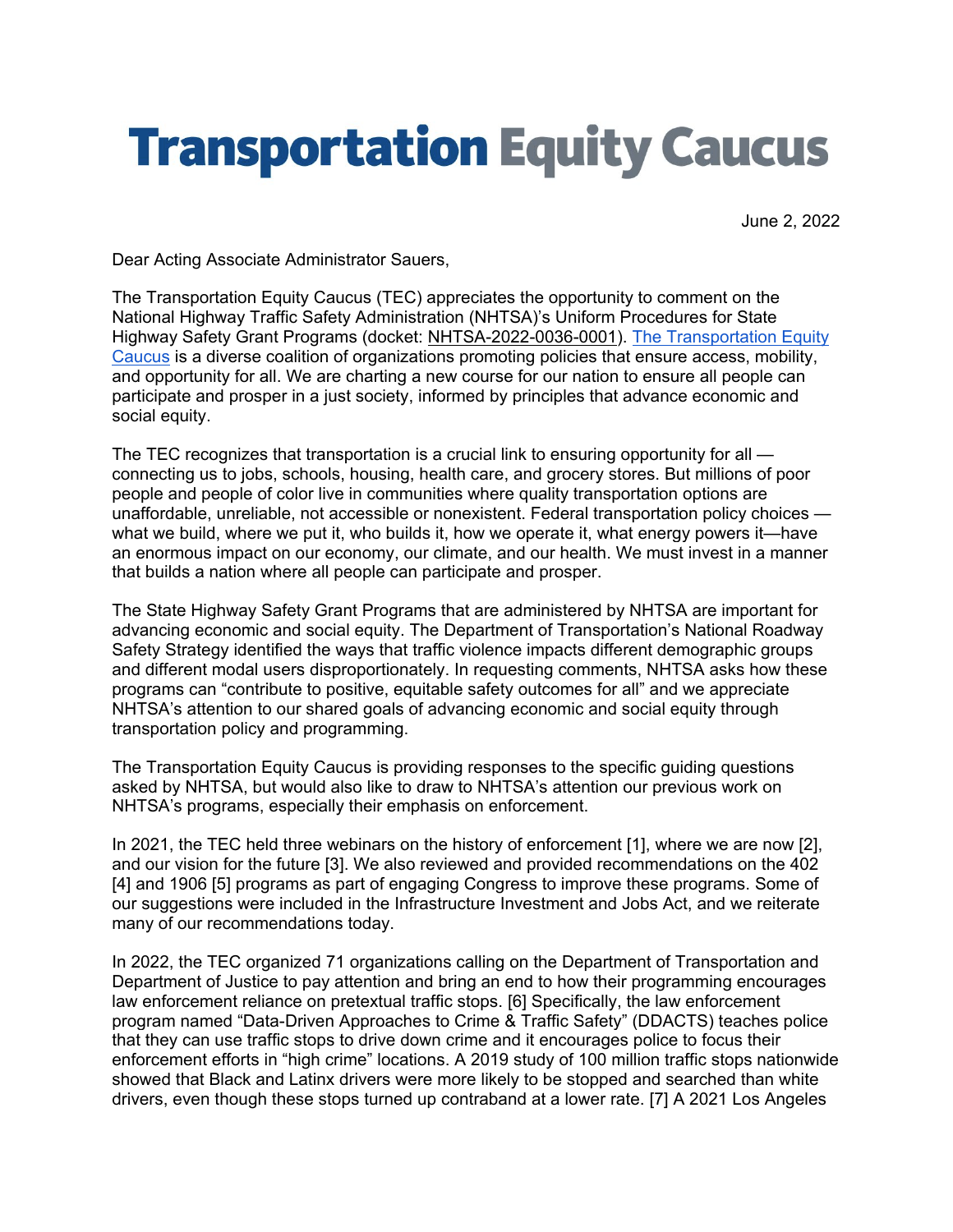# **Transportation Equity Caucus**

June 2, 2022

Dear Acting Associate Administrator Sauers,

The Transportation Equity Caucus (TEC) appreciates the opportunity to comment on the National Highway Traffic Safety Administration (NHTSA)'s Uniform Procedures for State Highway Safety Grant Programs (docket: [NHTSA-2022-0036-0001\)](https://www.regulations.gov/document/NHTSA-2022-0036-0001). [The Transportation Equity](https://equitycaucus.org/)  [Caucus](https://equitycaucus.org/) is a diverse coalition of organizations promoting policies that ensure access, mobility, and opportunity for all. We are charting a new course for our nation to ensure all people can participate and prosper in a just society, informed by principles that advance economic and social equity.

The TEC recognizes that transportation is a crucial link to ensuring opportunity for all connecting us to jobs, schools, housing, health care, and grocery stores. But millions of poor people and people of color live in communities where quality transportation options are unaffordable, unreliable, not accessible or nonexistent. Federal transportation policy choices what we build, where we put it, who builds it, how we operate it, what energy powers it—have an enormous impact on our economy, our climate, and our health. We must invest in a manner that builds a nation where all people can participate and prosper.

The State Highway Safety Grant Programs that are administered by NHTSA are important for advancing economic and social equity. The Department of Transportation's National Roadway Safety Strategy identified the ways that traffic violence impacts different demographic groups and different modal users disproportionately. In requesting comments, NHTSA asks how these programs can "contribute to positive, equitable safety outcomes for all" and we appreciate NHTSA's attention to our shared goals of advancing economic and social equity through transportation policy and programming.

The Transportation Equity Caucus is providing responses to the specific guiding questions asked by NHTSA, but would also like to draw to NHTSA's attention our previous work on NHTSA's programs, especially their emphasis on enforcement.

In 2021, the TEC held three webinars on the history of enforcement [1], where we are now [2], and our vision for the future [3]. We also reviewed and provided recommendations on the 402 [4] and 1906 [5] programs as part of engaging Congress to improve these programs. Some of our suggestions were included in the Infrastructure Investment and Jobs Act, and we reiterate many of our recommendations today.

In 2022, the TEC organized 71 organizations calling on the Department of Transportation and Department of Justice to pay attention and bring an end to how their programming encourages law enforcement reliance on pretextual traffic stops. [6] Specifically, the law enforcement program named "Data-Driven Approaches to Crime & Traffic Safety" (DDACTS) teaches police that they can use traffic stops to drive down crime and it encourages police to focus their enforcement efforts in "high crime" locations. A 2019 study of 100 million traffic stops nationwide showed that Black and Latinx drivers were more likely to be stopped and searched than white drivers, even though these stops turned up contraband at a lower rate. [7] A 2021 Los Angeles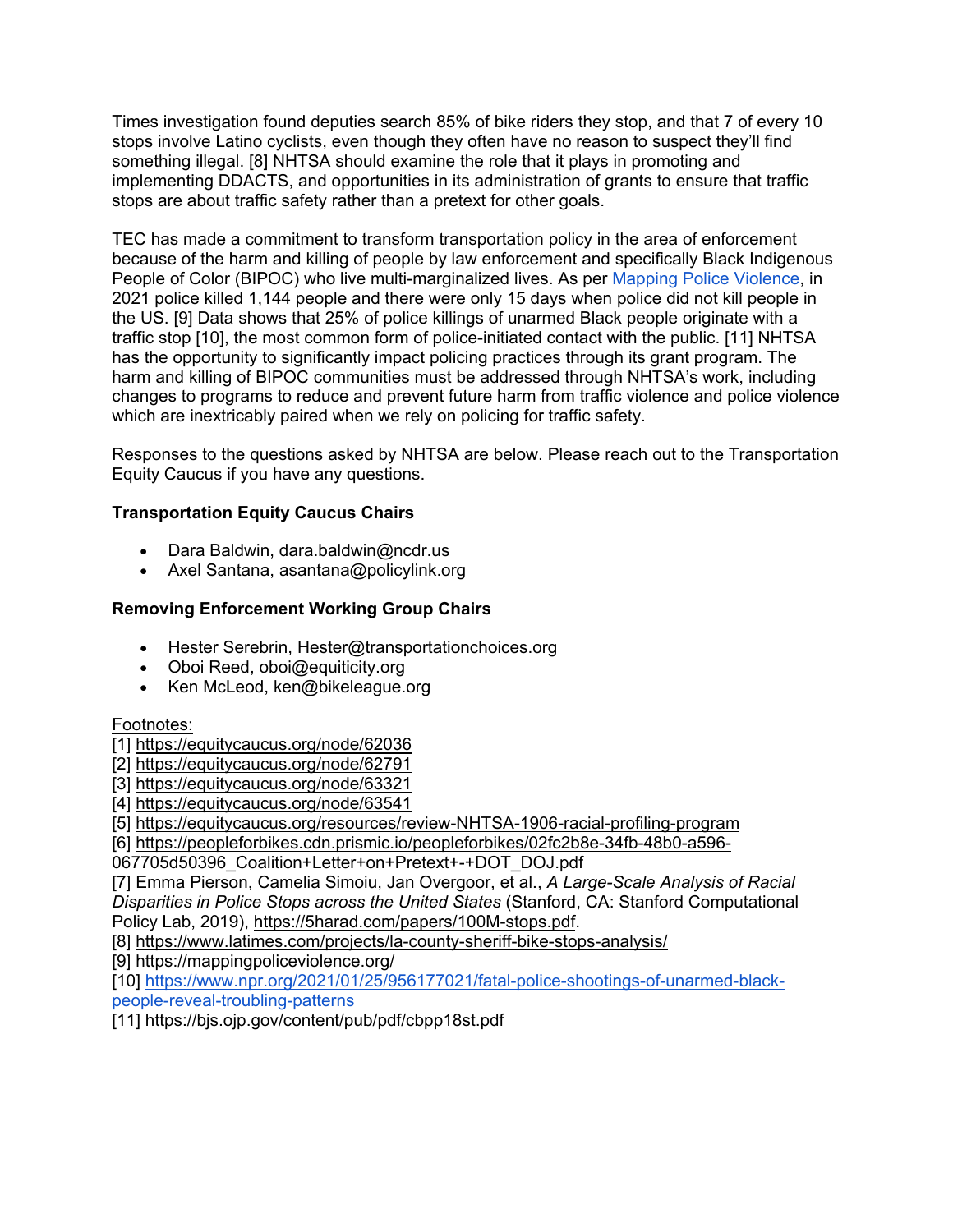Times investigation found deputies search 85% of bike riders they stop, and that 7 of every 10 stops involve Latino cyclists, even though they often have no reason to suspect they'll find something illegal. [8] NHTSA should examine the role that it plays in promoting and implementing DDACTS, and opportunities in its administration of grants to ensure that traffic stops are about traffic safety rather than a pretext for other goals.

TEC has made a commitment to transform transportation policy in the area of enforcement because of the harm and killing of people by law enforcement and specifically Black Indigenous People of Color (BIPOC) who live multi-marginalized lives. As per [Mapping Police Violence,](https://mappingpoliceviolence.org/) in 2021 police killed 1,144 people and there were only 15 days when police did not kill people in the US. [9] Data shows that 25% of police killings of unarmed Black people originate with a traffic stop [10], the most common form of police-initiated contact with the public. [11] NHTSA has the opportunity to significantly impact policing practices through its grant program. The harm and killing of BIPOC communities must be addressed through NHTSA's work, including changes to programs to reduce and prevent future harm from traffic violence and police violence which are inextricably paired when we rely on policing for traffic safety.

Responses to the questions asked by NHTSA are below. Please reach out to the Transportation Equity Caucus if you have any questions.

# **Transportation Equity Caucus Chairs**

- Dara Baldwin, dara.baldwin@ncdr.us
- Axel Santana, asantana@policylink.org

# **Removing Enforcement Working Group Chairs**

- Hester Serebrin, Hester@transportationchoices.org
- Oboi Reed, oboi@equiticity.org
- Ken McLeod, ken@bikeleague.org

# Footnotes:

- [1]<https://equitycaucus.org/node/62036>
- [2]<https://equitycaucus.org/node/62791>
- [3]<https://equitycaucus.org/node/63321>
- [4]<https://equitycaucus.org/node/63541>

[5]<https://equitycaucus.org/resources/review-NHTSA-1906-racial-profiling-program>

[6] [https://peopleforbikes.cdn.prismic.io/peopleforbikes/02fc2b8e-34fb-48b0-a596-](https://peopleforbikes.cdn.prismic.io/peopleforbikes/02fc2b8e-34fb-48b0-a596-067705d50396_Coalition+Letter+on+Pretext+-+DOT_DOJ.pdf)

[067705d50396\\_Coalition+Letter+on+Pretext+-+DOT\\_DOJ.pdf](https://peopleforbikes.cdn.prismic.io/peopleforbikes/02fc2b8e-34fb-48b0-a596-067705d50396_Coalition+Letter+on+Pretext+-+DOT_DOJ.pdf) 

[7] Emma Pierson, Camelia Simoiu, Jan Overgoor, et al., *A Large-Scale Analysis of Racial Disparities in Police Stops across the United States* (Stanford, CA: Stanford Computational Policy Lab, 2019), [https://5harad.com/papers/100M-stops.pdf.](https://5harad.com/papers/100M-stops.pdf)

[8]<https://www.latimes.com/projects/la-county-sheriff-bike-stops-analysis/>

[9] https://mappingpoliceviolence.org/

[10] [https://www.npr.org/2021/01/25/956177021/fatal-police-shootings-of-unarmed-black](https://www.npr.org/2021/01/25/956177021/fatal-police-shootings-of-unarmed-black-people-reveal-troubling-patterns)[people-reveal-troubling-patterns](https://www.npr.org/2021/01/25/956177021/fatal-police-shootings-of-unarmed-black-people-reveal-troubling-patterns)

[11] https://bjs.ojp.gov/content/pub/pdf/cbpp18st.pdf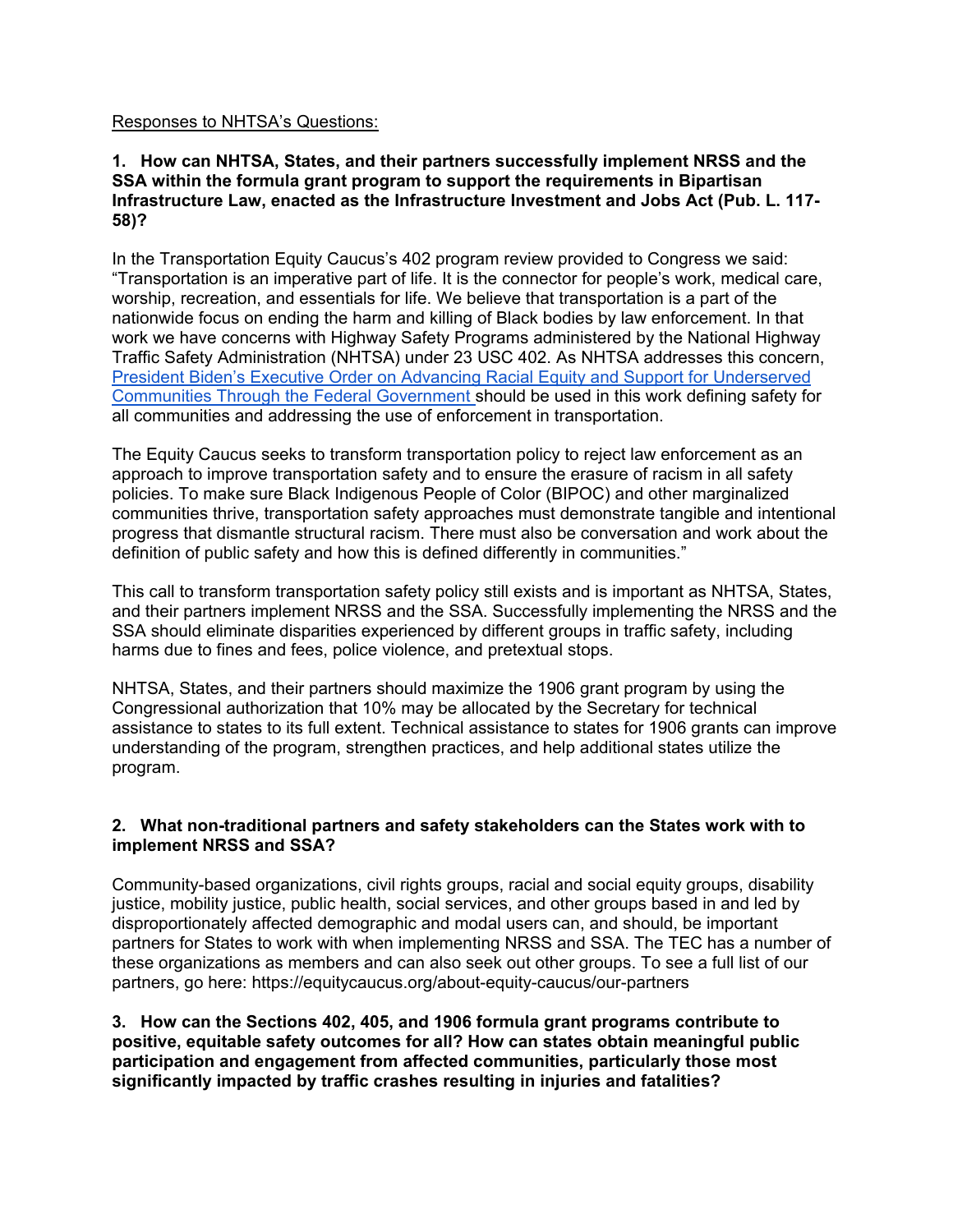#### Responses to NHTSA's Questions:

#### **1. How can NHTSA, States, and their partners successfully implement NRSS and the SSA within the formula grant program to support the requirements in Bipartisan Infrastructure Law, enacted as the Infrastructure Investment and Jobs Act (Pub. L. 117- 58)?**

In the Transportation Equity Caucus's 402 program review provided to Congress we said: "Transportation is an imperative part of life. It is the connector for people's work, medical care, worship, recreation, and essentials for life. We believe that transportation is a part of the nationwide focus on ending the harm and killing of Black bodies by law enforcement. In that work we have concerns with Highway Safety Programs administered by the National Highway Traffic Safety Administration (NHTSA) under 23 USC 402. As NHTSA addresses this concern, President Biden's [Executive Order on Advancing Racial Equity and Support for Underserved](https://www.whitehouse.gov/briefing-room/presidential-actions/2021/01/20/executive-order-advancing-racial-equity-and-support-for-underserved-communities-through-the-federal-government/)  [Communities Through the Federal Government s](https://www.whitehouse.gov/briefing-room/presidential-actions/2021/01/20/executive-order-advancing-racial-equity-and-support-for-underserved-communities-through-the-federal-government/)hould be used in this work defining safety for all communities and addressing the use of enforcement in transportation.

The Equity Caucus seeks to transform transportation policy to reject law enforcement as an approach to improve transportation safety and to ensure the erasure of racism in all safety policies. To make sure Black Indigenous People of Color (BIPOC) and other marginalized communities thrive, transportation safety approaches must demonstrate tangible and intentional progress that dismantle structural racism. There must also be conversation and work about the definition of public safety and how this is defined differently in communities."

This call to transform transportation safety policy still exists and is important as NHTSA, States, and their partners implement NRSS and the SSA. Successfully implementing the NRSS and the SSA should eliminate disparities experienced by different groups in traffic safety, including harms due to fines and fees, police violence, and pretextual stops.

NHTSA, States, and their partners should maximize the 1906 grant program by using the Congressional authorization that 10% may be allocated by the Secretary for technical assistance to states to its full extent. Technical assistance to states for 1906 grants can improve understanding of the program, strengthen practices, and help additional states utilize the program.

#### **2. What non-traditional partners and safety stakeholders can the States work with to implement NRSS and SSA?**

Community-based organizations, civil rights groups, racial and social equity groups, disability justice, mobility justice, public health, social services, and other groups based in and led by disproportionately affected demographic and modal users can, and should, be important partners for States to work with when implementing NRSS and SSA. The TEC has a number of these organizations as members and can also seek out other groups. To see a full list of our partners, go here: https://equitycaucus.org/about-equity-caucus/our-partners

**3. How can the Sections 402, 405, and 1906 formula grant programs contribute to positive, equitable safety outcomes for all? How can states obtain meaningful public participation and engagement from affected communities, particularly those most significantly impacted by traffic crashes resulting in injuries and fatalities?**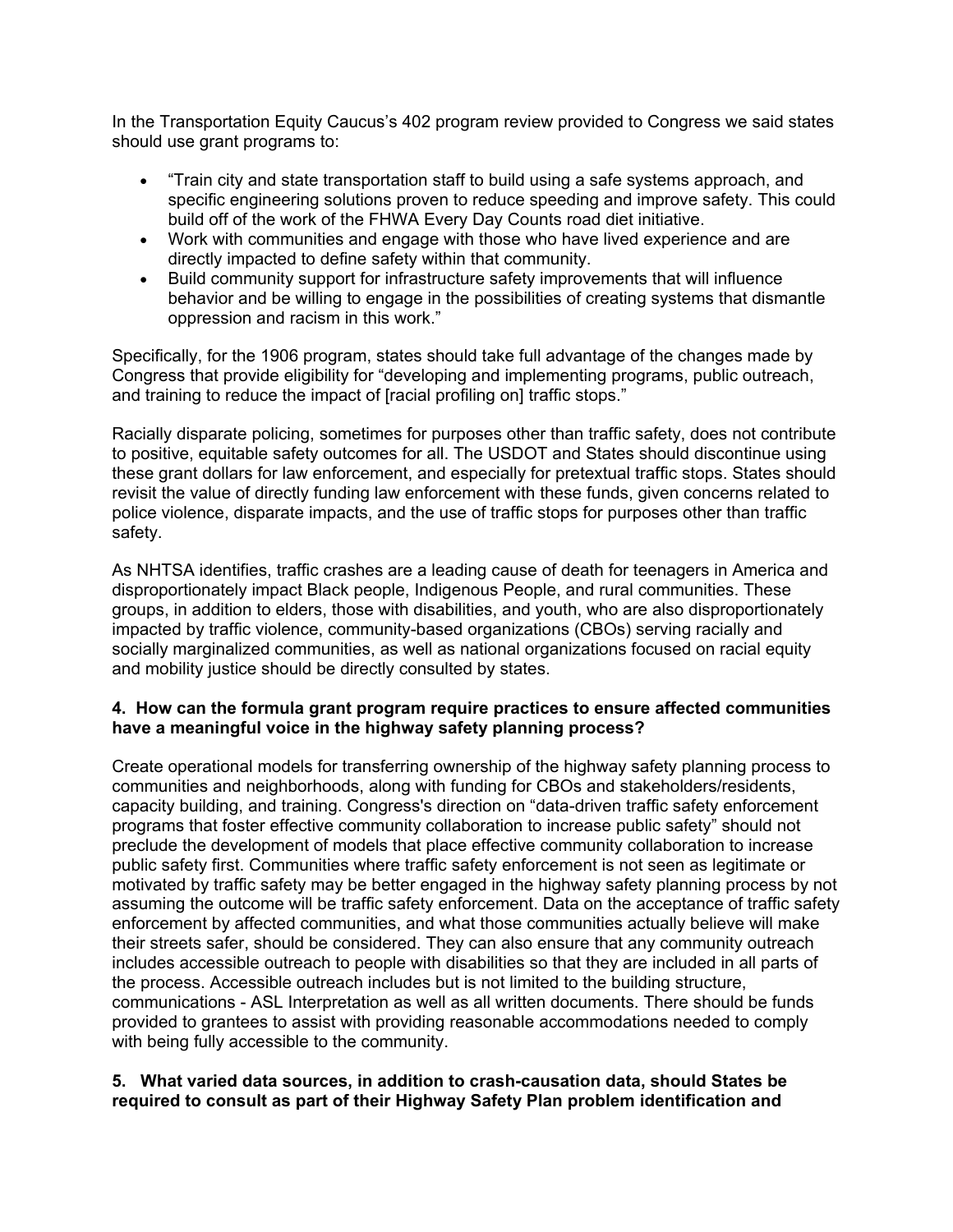In the Transportation Equity Caucus's 402 program review provided to Congress we said states should use grant programs to:

- "Train city and state transportation staff to build using a safe systems approach, and specific engineering solutions proven to reduce speeding and improve safety. This could build off of the work of the FHWA Every Day Counts road diet initiative.
- Work with communities and engage with those who have lived experience and are directly impacted to define safety within that community.
- Build community support for infrastructure safety improvements that will influence behavior and be willing to engage in the possibilities of creating systems that dismantle oppression and racism in this work."

Specifically, for the 1906 program, states should take full advantage of the changes made by Congress that provide eligibility for "developing and implementing programs, public outreach, and training to reduce the impact of [racial profiling on] traffic stops."

Racially disparate policing, sometimes for purposes other than traffic safety, does not contribute to positive, equitable safety outcomes for all. The USDOT and States should discontinue using these grant dollars for law enforcement, and especially for pretextual traffic stops. States should revisit the value of directly funding law enforcement with these funds, given concerns related to police violence, disparate impacts, and the use of traffic stops for purposes other than traffic safety.

As NHTSA identifies, traffic crashes are a leading cause of death for teenagers in America and disproportionately impact Black people, Indigenous People, and rural communities. These groups, in addition to elders, those with disabilities, and youth, who are also disproportionately impacted by traffic violence, community-based organizations (CBOs) serving racially and socially marginalized communities, as well as national organizations focused on racial equity and mobility justice should be directly consulted by states.

## **4. How can the formula grant program require practices to ensure affected communities have a meaningful voice in the highway safety planning process?**

Create operational models for transferring ownership of the highway safety planning process to communities and neighborhoods, along with funding for CBOs and stakeholders/residents, capacity building, and training. Congress's direction on "data-driven traffic safety enforcement programs that foster effective community collaboration to increase public safety" should not preclude the development of models that place effective community collaboration to increase public safety first. Communities where traffic safety enforcement is not seen as legitimate or motivated by traffic safety may be better engaged in the highway safety planning process by not assuming the outcome will be traffic safety enforcement. Data on the acceptance of traffic safety enforcement by affected communities, and what those communities actually believe will make their streets safer, should be considered. They can also ensure that any community outreach includes accessible outreach to people with disabilities so that they are included in all parts of the process. Accessible outreach includes but is not limited to the building structure, communications - ASL Interpretation as well as all written documents. There should be funds provided to grantees to assist with providing reasonable accommodations needed to comply with being fully accessible to the community.

## **5. What varied data sources, in addition to crash-causation data, should States be required to consult as part of their Highway Safety Plan problem identification and**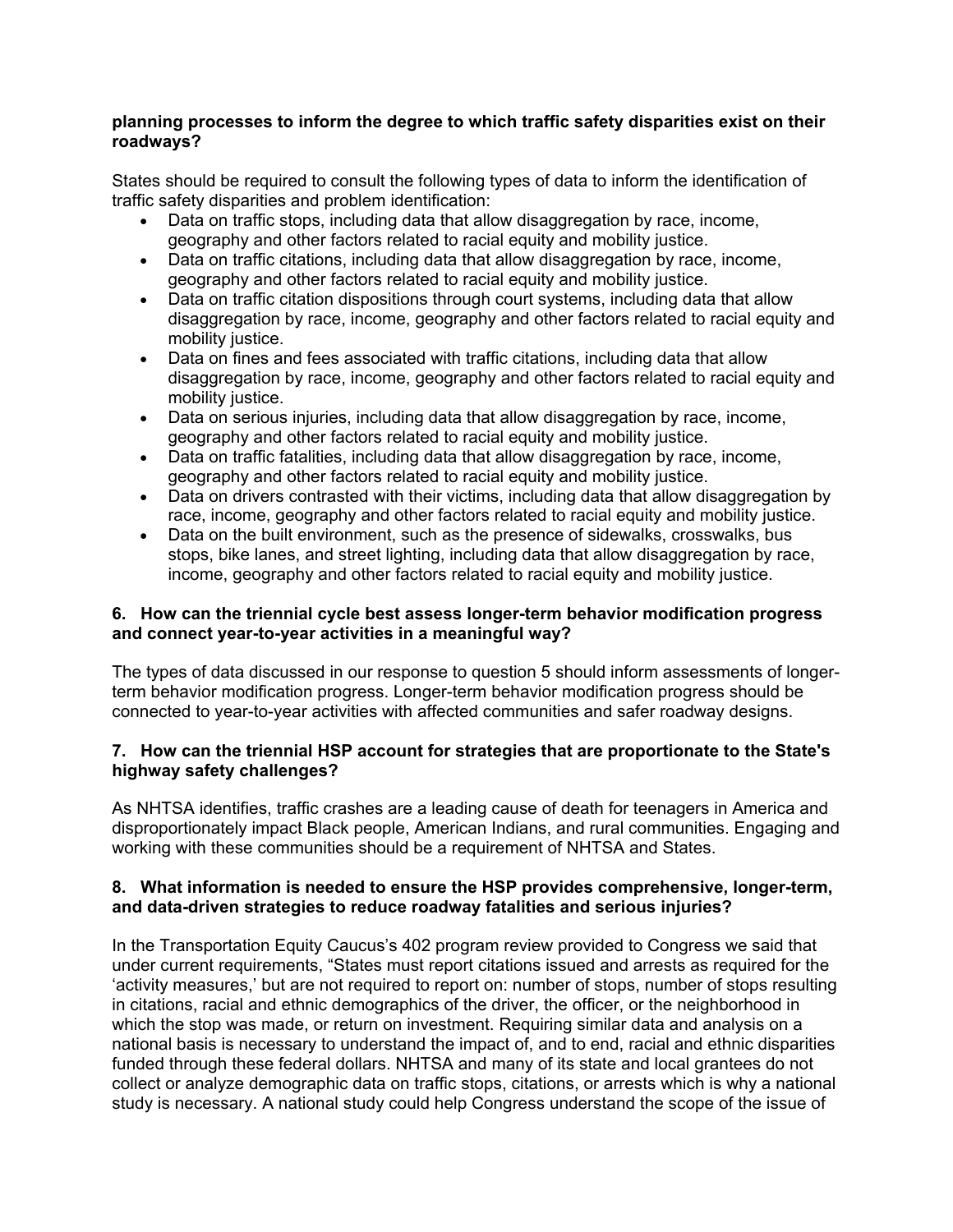#### **planning processes to inform the degree to which traffic safety disparities exist on their roadways?**

States should be required to consult the following types of data to inform the identification of traffic safety disparities and problem identification:

- Data on traffic stops, including data that allow disaggregation by race, income, geography and other factors related to racial equity and mobility justice.
- Data on traffic citations, including data that allow disaggregation by race, income, geography and other factors related to racial equity and mobility justice.
- Data on traffic citation dispositions through court systems, including data that allow disaggregation by race, income, geography and other factors related to racial equity and mobility justice.
- Data on fines and fees associated with traffic citations, including data that allow disaggregation by race, income, geography and other factors related to racial equity and mobility justice.
- Data on serious injuries, including data that allow disaggregation by race, income, geography and other factors related to racial equity and mobility justice.
- Data on traffic fatalities, including data that allow disaggregation by race, income, geography and other factors related to racial equity and mobility justice.
- Data on drivers contrasted with their victims, including data that allow disaggregation by race, income, geography and other factors related to racial equity and mobility justice.
- Data on the built environment, such as the presence of sidewalks, crosswalks, bus stops, bike lanes, and street lighting, including data that allow disaggregation by race, income, geography and other factors related to racial equity and mobility justice.

## **6. How can the triennial cycle best assess longer-term behavior modification progress and connect year-to-year activities in a meaningful way?**

The types of data discussed in our response to question 5 should inform assessments of longerterm behavior modification progress. Longer-term behavior modification progress should be connected to year-to-year activities with affected communities and safer roadway designs.

#### **7. How can the triennial HSP account for strategies that are proportionate to the State's highway safety challenges?**

As NHTSA identifies, traffic crashes are a leading cause of death for teenagers in America and disproportionately impact Black people, American Indians, and rural communities. Engaging and working with these communities should be a requirement of NHTSA and States.

## **8. What information is needed to ensure the HSP provides comprehensive, longer-term, and data-driven strategies to reduce roadway fatalities and serious injuries?**

In the Transportation Equity Caucus's 402 program review provided to Congress we said that under current requirements, "States must report citations issued and arrests as required for the 'activity measures,' but are not required to report on: number of stops, number of stops resulting in citations, racial and ethnic demographics of the driver, the officer, or the neighborhood in which the stop was made, or return on investment. Requiring similar data and analysis on a national basis is necessary to understand the impact of, and to end, racial and ethnic disparities funded through these federal dollars. NHTSA and many of its state and local grantees do not collect or analyze demographic data on traffic stops, citations, or arrests which is why a national study is necessary. A national study could help Congress understand the scope of the issue of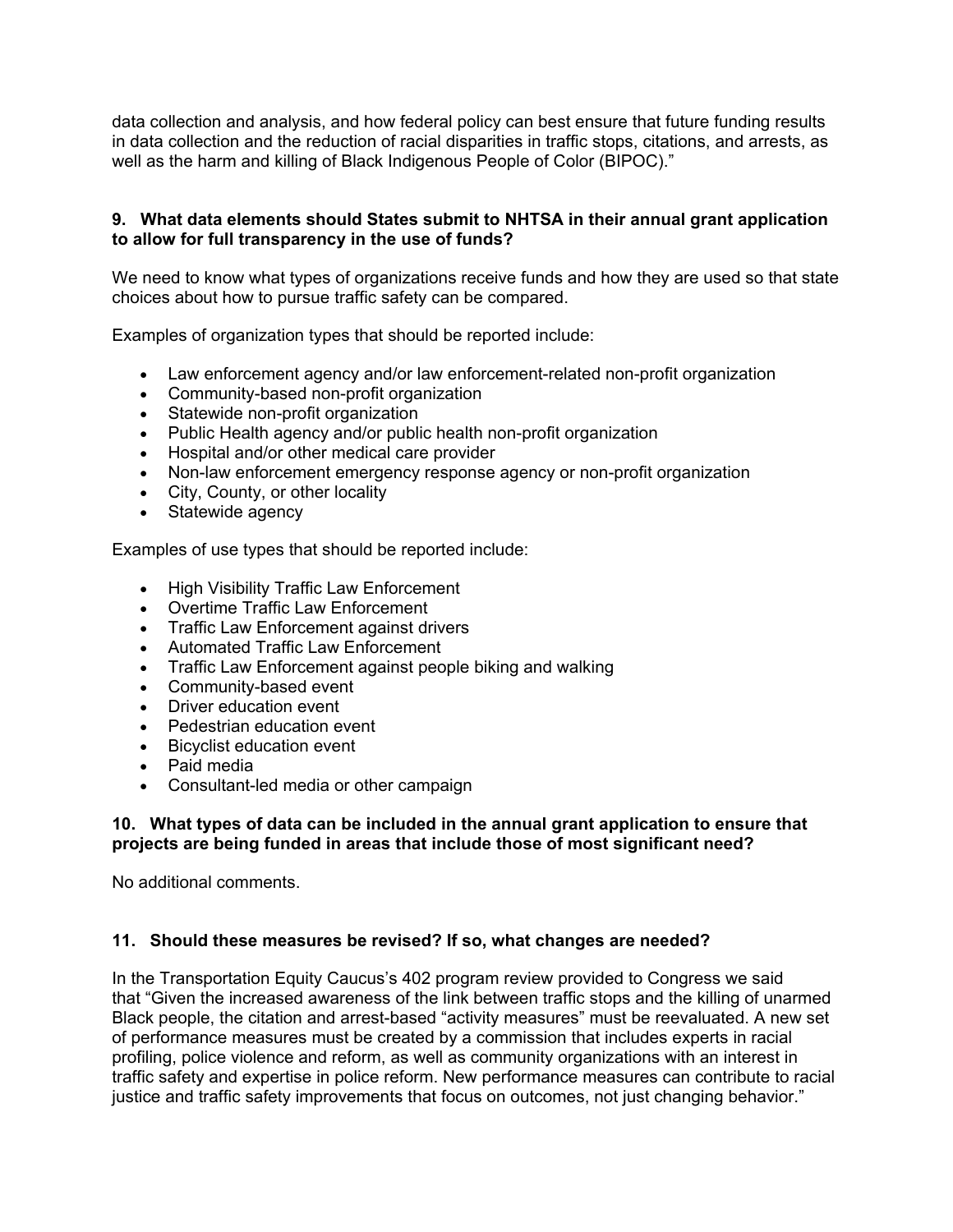data collection and analysis, and how federal policy can best ensure that future funding results in data collection and the reduction of racial disparities in traffic stops, citations, and arrests, as well as the harm and killing of Black Indigenous People of Color (BIPOC)."

## **9. What data elements should States submit to NHTSA in their annual grant application to allow for full transparency in the use of funds?**

We need to know what types of organizations receive funds and how they are used so that state choices about how to pursue traffic safety can be compared.

Examples of organization types that should be reported include:

- Law enforcement agency and/or law enforcement-related non-profit organization
- Community-based non-profit organization
- Statewide non-profit organization
- Public Health agency and/or public health non-profit organization
- Hospital and/or other medical care provider
- Non-law enforcement emergency response agency or non-profit organization
- City, County, or other locality
- Statewide agency

Examples of use types that should be reported include:

- High Visibility Traffic Law Enforcement
- Overtime Traffic Law Enforcement
- Traffic Law Enforcement against drivers
- Automated Traffic Law Enforcement
- Traffic Law Enforcement against people biking and walking
- Community-based event
- Driver education event
- Pedestrian education event
- Bicyclist education event
- Paid media
- Consultant-led media or other campaign

#### **10. What types of data can be included in the annual grant application to ensure that projects are being funded in areas that include those of most significant need?**

No additional comments.

#### **11. Should these measures be revised? If so, what changes are needed?**

In the Transportation Equity Caucus's 402 program review provided to Congress we said that "Given the increased awareness of the link between traffic stops and the killing of unarmed Black people, the citation and arrest-based "activity measures" must be reevaluated. A new set of performance measures must be created by a commission that includes experts in racial profiling, police violence and reform, as well as community organizations with an interest in traffic safety and expertise in police reform. New performance measures can contribute to racial justice and traffic safety improvements that focus on outcomes, not just changing behavior."